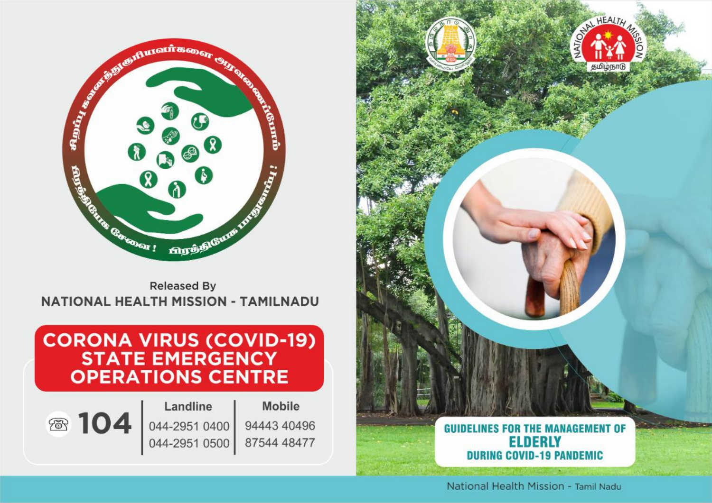

**Released By NATIONAL HEALTH MISSION - TAMILNADU** 

# **CORONA VIRUS (COVID-19)**<br>STATE EMERGENCY **OPERATIONS CENTRE**





**Mobile** 94443 40496 87544 48477



National Health Mission - Tamil Nadu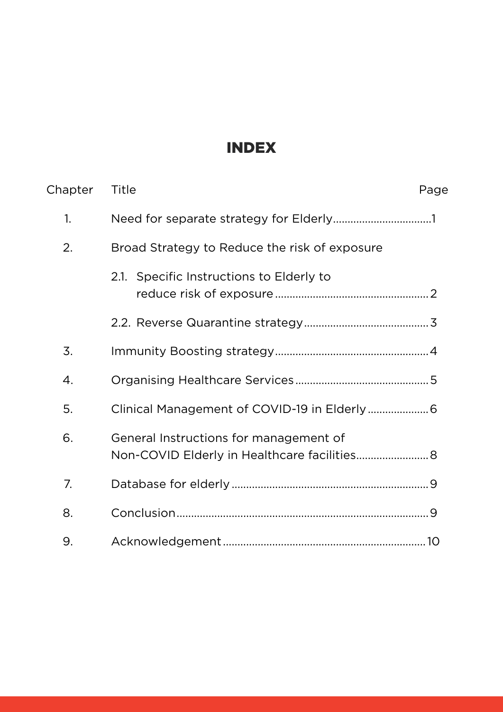# Index

| Chapter | Title<br>Page                                 |
|---------|-----------------------------------------------|
| 1.      |                                               |
| 2.      | Broad Strategy to Reduce the risk of exposure |
|         | 2.1. Specific Instructions to Elderly to      |
|         |                                               |
| 3.      |                                               |
| 4.      |                                               |
| 5.      |                                               |
| 6.      | General Instructions for management of        |
| 7.      |                                               |
| 8.      |                                               |
| 9.      |                                               |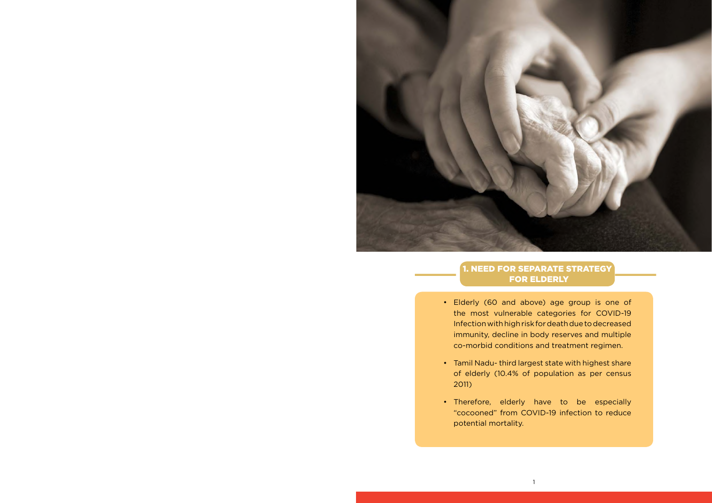

## 1. Need for separate strategy for Elderly

the most vulnerable categories for COVID-19 Infection with high risk for death due to decreased immunity, decline in body reserves and multiple co-morbid conditions and treatment regimen.

- • Elderly (60 and above) age group is one of
- • Tamil Nadu- third largest state with highest share 2011)
- Therefore, elderly have to be especially potential mortality.

of elderly (10.4% of population as per census

"cocooned" from COVID-19 infection to reduce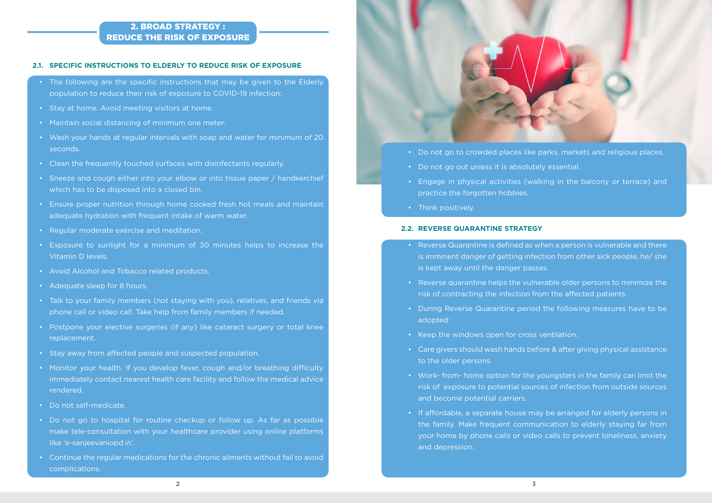#### 2. Broad Strategy : Reduce the risk of exposure

#### **2.1. Specific Instructions to Elderly to reduce risk of exposure**

- The following are the specific instructions that may be given to the Elderly population to reduce their risk of exposure to COVID-19 infection:
- Stay at home. Avoid meeting visitors at home.
- Maintain social distancing of minimum one meter.
- • Wash your hands at regular intervals with soap and water for minimum of 20 seconds.
- Clean the frequently touched surfaces with disinfectants regularly.
- Sneeze and cough either into your elbow or into tissue paper / handkerchief which has to be disposed into a closed bin.
- Ensure proper nutrition through home cooked fresh hot meals and maintain adequate hydration with frequent intake of warm water.
- • Regular moderate exercise and meditation.
- • Exposure to sunlight for a minimum of 30 minutes helps to increase the Vitamin D levels.
- • Avoid Alcohol and Tobacco related products.
- Adequate sleep for 8 hours.
- Talk to your family members (not staying with you), relatives, and friends via phone call or video call. Take help from family members if needed.
- Postpone your elective surgeries (if any) like cataract surgery or total knee replacement.
- Stay away from affected people and suspected population.
- Monitor your health. If you develop fever, cough and/or breathing difficulty immediately contact nearest health care facility and follow the medical advice rendered.
- • Do not self-medicate.
- Do not go to hospital for routine checkup or follow up. As far as possible make tele-consultation with your healthcare provider using online platforms like 'e-sanjeevaniopd.in'.
- Continue the regular medications for the chronic ailments without fail to avoid complications.



- Do not go to crowded places like parks, markets and religious places.
- Do not go out unless it is absolutely essential.
- Engage in physical activities (walking in the balcony or terrace) and practice the forgotten hobbies.
- Think positively.

- Reverse Quarantine is defined as when a person is vulnerable and there is imminent danger of getting infection from other sick people, he/ she is kept away until the danger passes.
- • Reverse quarantine helps the vulnerable older persons to minimize the risk of contracting the infection from the affected patients.
- During Reverse Quarantine period the following measures have to be adopted:
- Keep the windows open for cross ventilation.
- Care givers should wash hands before & after giving physical assistance to the older persons.
- Work- from- home option for the youngsters in the family can limit the risk of exposure to potential sources of infection from outside sources and become potential carriers.
- If affordable, a separate house may be arranged for elderly persons in the family. Make frequent communication to elderly staying far from your home by phone calls or video calls to prevent loneliness, anxiety and depression.

#### **2.2. Reverse Quarantine Strategy**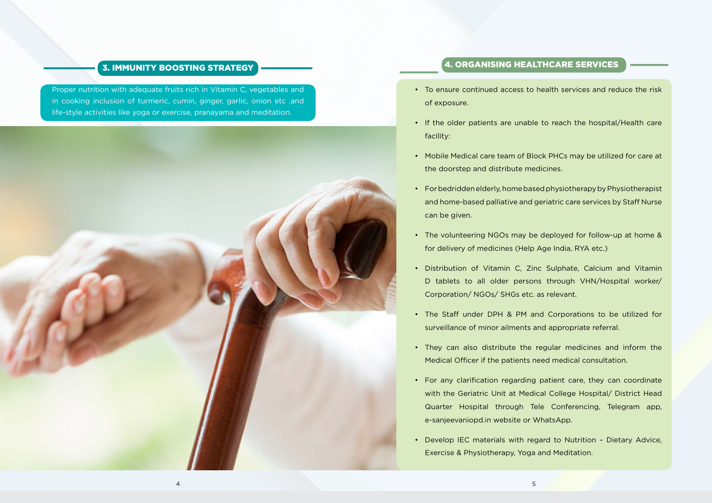#### 3. Immunity Boosting strategy

Proper nutrition with adequate fruits rich in Vitamin C, vegetables and in cooking inclusion of turmeric, cumin, ginger, garlic, onion etc .and life-style activities like yoga or exercise, pranayama and meditation.



## 4. Organising Healthcare Services

and home-based palliative and geriatric care services by Staff Nurse

• For any clarification regarding patient care, they can coordinate with the Geriatric Unit at Medical College Hospital/ District Head Quarter Hospital through Tele Conferencing, Telegram app,

D tablets to all older persons through VHN/Hospital worker/

- of exposure.
- facility:
- Mobile Medical care team of Block PHCs may be utilized for care at the doorstep and distribute medicines.
- • For bedridden elderly, home based physiotherapy by Physiotherapist can be given.
- The volunteering NGOs may be deployed for follow-up at home & for delivery of medicines (Help Age India, RYA etc.)
- Distribution of Vitamin C, Zinc Sulphate, Calcium and Vitamin Corporation/ NGOs/ SHGs etc. as relevant.
- The Staff under DPH & PM and Corporations to be utilized for surveillance of minor ailments and appropriate referral.
- They can also distribute the regular medicines and inform the Medical Officer if the patients need medical consultation.
- e-sanjeevaniopd.in website or WhatsApp.
- Develop IEC materials with regard to Nutrition Dietary Advice, Exercise & Physiotherapy, Yoga and Meditation.

• To ensure continued access to health services and reduce the risk

• If the older patients are unable to reach the hospital/Health care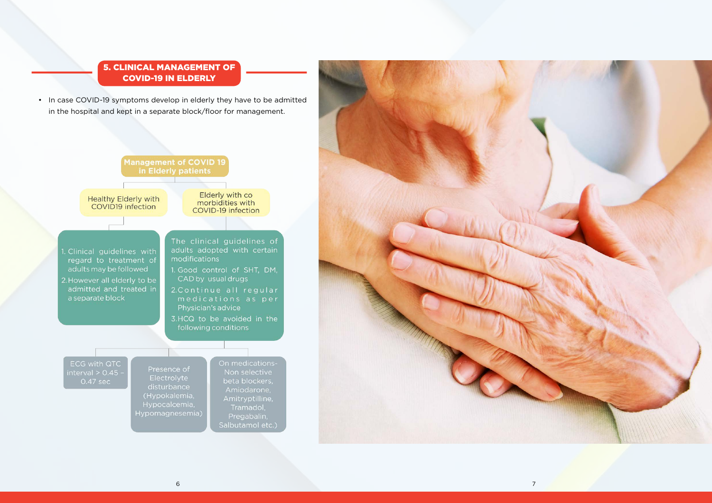## 5. Clinical Management of COVID-19 in Elderly

• In case COVID-19 symptoms develop in elderly they have to be admitted in the hospital and kept in a separate block/floor for management.



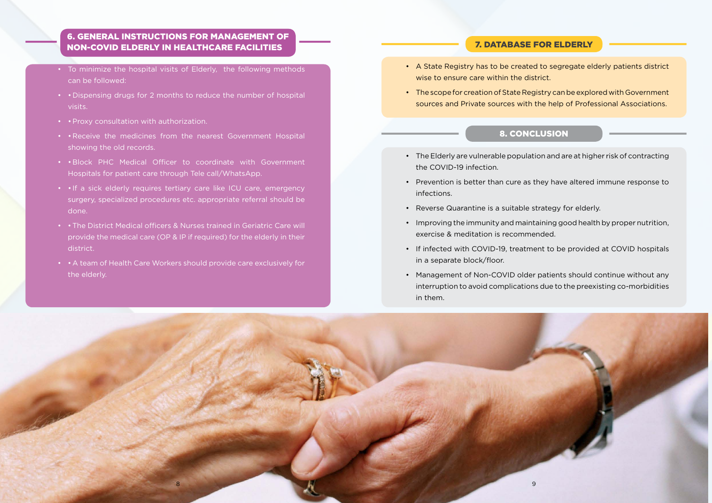#### 6. General Instructions for management of Non-COVID Elderly in Healthcare facilities

- To minimize the hospital visits of Elderly, the following methods can be followed:
- • Dispensing drugs for 2 months to reduce the number of hospital visits.
- • Proxy consultation with authorization.
- • Receive the medicines from the nearest Government Hospital showing the old records.
- • Block PHC Medical Officer to coordinate with Government Hospitals for patient care through Tele call/WhatsApp.
- • If a sick elderly requires tertiary care like ICU care, emergency surgery, specialized procedures etc. appropriate referral should be done.
- • The District Medical officers & Nurses trained in Geriatric Care will provide the medical care (OP & IP if required) for the elderly in their district.
- • A team of Health Care Workers should provide care exclusively for the elderly.

• The scope for creation of State Registry can be explored with Government sources and Private sources with the help of Professional Associations.

• The Elderly are vulnerable population and are at higher risk of contracting

• Prevention is better than cure as they have altered immune response to

• If infected with COVID-19, treatment to be provided at COVID hospitals

#### 7. Database for elderly

• A State Registry has to be created to segregate elderly patients district

- wise to ensure care within the district.
- 

#### 8. Conclusion

- the COVID-19 infection.
- infections.
- • Reverse Quarantine is a suitable strategy for elderly.
- • Improving the immunity and maintaining good health by proper nutrition, exercise & meditation is recommended.
- in a separate block/floor.
- Management of Non-COVID older patients should continue without any in them.

interruption to avoid complications due to the preexisting co-morbidities